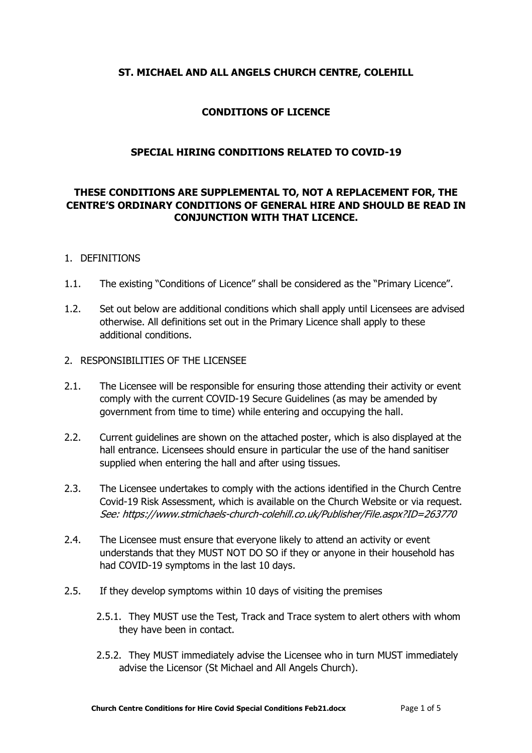## **ST. MICHAEL AND ALL ANGELS CHURCH CENTRE, COLEHILL**

## **CONDITIONS OF LICENCE**

## **SPECIAL HIRING CONDITIONS RELATED TO COVID-19**

# **THESE CONDITIONS ARE SUPPLEMENTAL TO, NOT A REPLACEMENT FOR, THE CENTRE'S ORDINARY CONDITIONS OF GENERAL HIRE AND SHOULD BE READ IN CONJUNCTION WITH THAT LICENCE.**

## 1. DEFINITIONS

- 1.1. The existing "Conditions of Licence" shall be considered as the "Primary Licence".
- 1.2. Set out below are additional conditions which shall apply until Licensees are advised otherwise. All definitions set out in the Primary Licence shall apply to these additional conditions.

#### 2. RESPONSIBILITIES OF THE LICENSEE

- 2.1. The Licensee will be responsible for ensuring those attending their activity or event comply with the current COVID-19 Secure Guidelines (as may be amended by government from time to time) while entering and occupying the hall.
- 2.2. Current guidelines are shown on the attached poster, which is also displayed at the hall entrance. Licensees should ensure in particular the use of the hand sanitiser supplied when entering the hall and after using tissues.
- 2.3. The Licensee undertakes to comply with the actions identified in the Church Centre Covid-19 Risk Assessment, which is available on the Church Website or via request. See: https://www.stmichaels-church-colehill.co.uk/Publisher/File.aspx?ID=263770
- 2.4. The Licensee must ensure that everyone likely to attend an activity or event understands that they MUST NOT DO SO if they or anyone in their household has had COVID-19 symptoms in the last 10 days.
- 2.5. If they develop symptoms within 10 days of visiting the premises
	- 2.5.1. They MUST use the Test, Track and Trace system to alert others with whom they have been in contact.
	- 2.5.2. They MUST immediately advise the Licensee who in turn MUST immediately advise the Licensor (St Michael and All Angels Church).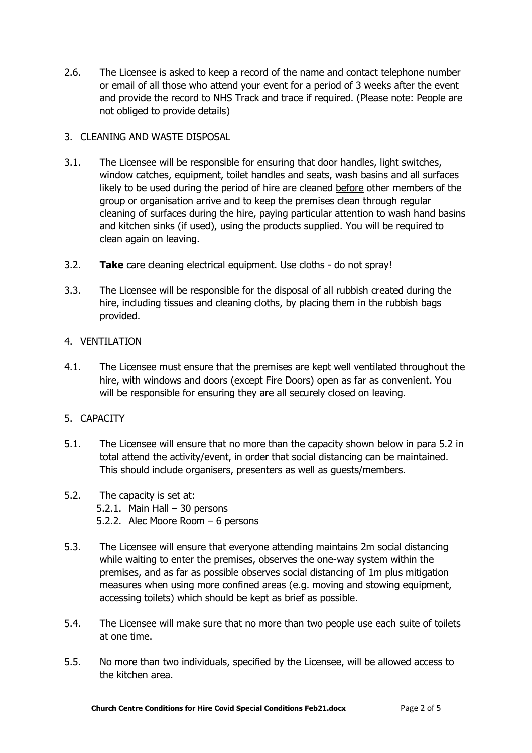2.6. The Licensee is asked to keep a record of the name and contact telephone number or email of all those who attend your event for a period of 3 weeks after the event and provide the record to NHS Track and trace if required. (Please note: People are not obliged to provide details)

# 3. CLEANING AND WASTE DISPOSAL

- 3.1. The Licensee will be responsible for ensuring that door handles, light switches, window catches, equipment, toilet handles and seats, wash basins and all surfaces likely to be used during the period of hire are cleaned before other members of the group or organisation arrive and to keep the premises clean through regular cleaning of surfaces during the hire, paying particular attention to wash hand basins and kitchen sinks (if used), using the products supplied. You will be required to clean again on leaving.
- 3.2. **Take** care cleaning electrical equipment. Use cloths do not spray!
- 3.3. The Licensee will be responsible for the disposal of all rubbish created during the hire, including tissues and cleaning cloths, by placing them in the rubbish bags provided.

#### 4. VENTILATION

4.1. The Licensee must ensure that the premises are kept well ventilated throughout the hire, with windows and doors (except Fire Doors) open as far as convenient. You will be responsible for ensuring they are all securely closed on leaving.

# 5. CAPACITY

- 5.1. The Licensee will ensure that no more than the capacity shown below in para 5.2 in total attend the activity/event, in order that social distancing can be maintained. This should include organisers, presenters as well as guests/members.
- 5.2. The capacity is set at: 5.2.1. Main Hall – 30 persons 5.2.2. Alec Moore Room – 6 persons
- 5.3. The Licensee will ensure that everyone attending maintains 2m social distancing while waiting to enter the premises, observes the one-way system within the premises, and as far as possible observes social distancing of 1m plus mitigation measures when using more confined areas (e.g. moving and stowing equipment, accessing toilets) which should be kept as brief as possible.
- 5.4. The Licensee will make sure that no more than two people use each suite of toilets at one time.
- 5.5. No more than two individuals, specified by the Licensee, will be allowed access to the kitchen area.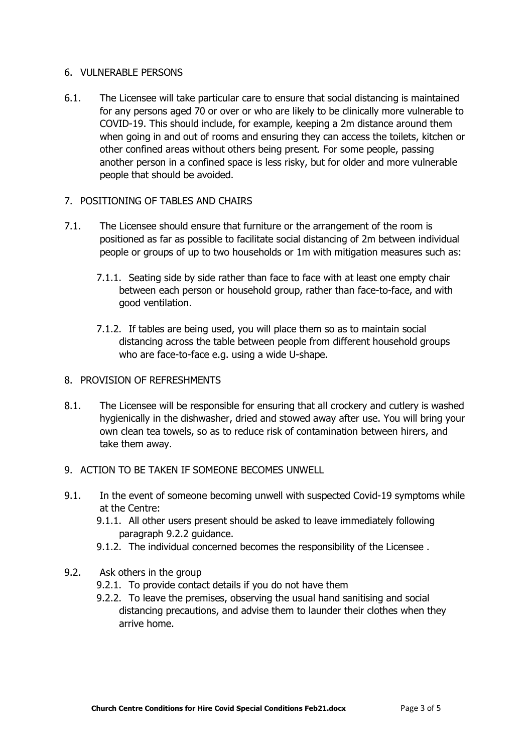### 6. VULNERABLE PERSONS

- 6.1. The Licensee will take particular care to ensure that social distancing is maintained for any persons aged 70 or over or who are likely to be clinically more vulnerable to COVID-19. This should include, for example, keeping a 2m distance around them when going in and out of rooms and ensuring they can access the toilets, kitchen or other confined areas without others being present. For some people, passing another person in a confined space is less risky, but for older and more vulnerable people that should be avoided.
- 7. POSITIONING OF TABLES AND CHAIRS
- 7.1. The Licensee should ensure that furniture or the arrangement of the room is positioned as far as possible to facilitate social distancing of 2m between individual people or groups of up to two households or 1m with mitigation measures such as:
	- 7.1.1. Seating side by side rather than face to face with at least one empty chair between each person or household group, rather than face-to-face, and with good ventilation.
	- 7.1.2. If tables are being used, you will place them so as to maintain social distancing across the table between people from different household groups who are face-to-face e.g. using a wide U-shape.
- 8. PROVISION OF REFRESHMENTS
- 8.1. The Licensee will be responsible for ensuring that all crockery and cutlery is washed hygienically in the dishwasher, dried and stowed away after use. You will bring your own clean tea towels, so as to reduce risk of contamination between hirers, and take them away.
- 9. ACTION TO BE TAKEN IF SOMEONE BECOMES UNWELL
- 9.1. In the event of someone becoming unwell with suspected Covid-19 symptoms while at the Centre:
	- 9.1.1. All other users present should be asked to leave immediately following paragraph 9.2.2 guidance.
	- 9.1.2. The individual concerned becomes the responsibility of the Licensee .
- 9.2. Ask others in the group
	- 9.2.1. To provide contact details if you do not have them
	- 9.2.2. To leave the premises, observing the usual hand sanitising and social distancing precautions, and advise them to launder their clothes when they arrive home.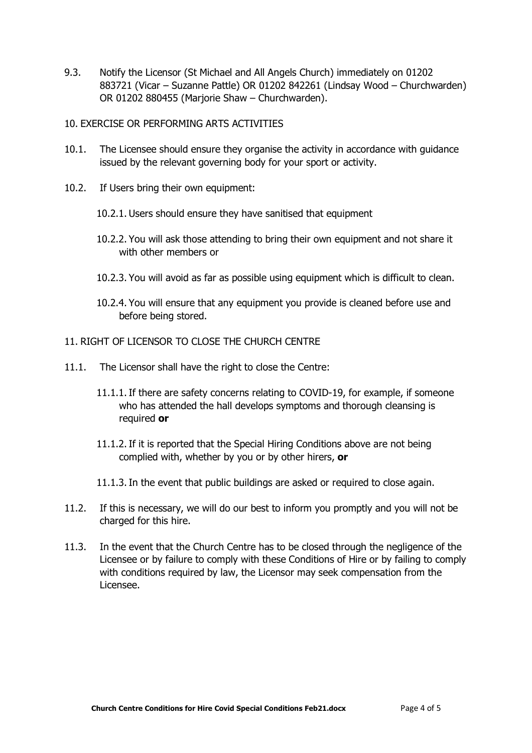9.3. Notify the Licensor (St Michael and All Angels Church) immediately on 01202 883721 (Vicar – Suzanne Pattle) OR 01202 842261 (Lindsay Wood – Churchwarden) OR 01202 880455 (Marjorie Shaw – Churchwarden).

## 10. EXERCISE OR PERFORMING ARTS ACTIVITIES

- 10.1. The Licensee should ensure they organise the activity in accordance with guidance issued by the relevant governing body for your sport or activity.
- 10.2. If Users bring their own equipment:
	- 10.2.1. Users should ensure they have sanitised that equipment
	- 10.2.2. You will ask those attending to bring their own equipment and not share it with other members or
	- 10.2.3. You will avoid as far as possible using equipment which is difficult to clean.
	- 10.2.4. You will ensure that any equipment you provide is cleaned before use and before being stored.

#### 11. RIGHT OF LICENSOR TO CLOSE THE CHURCH CENTRE

- 11.1. The Licensor shall have the right to close the Centre:
	- 11.1.1.If there are safety concerns relating to COVID-19, for example, if someone who has attended the hall develops symptoms and thorough cleansing is required **or**
	- 11.1.2.If it is reported that the Special Hiring Conditions above are not being complied with, whether by you or by other hirers, **or**
	- 11.1.3.In the event that public buildings are asked or required to close again.
- 11.2. If this is necessary, we will do our best to inform you promptly and you will not be charged for this hire.
- 11.3. In the event that the Church Centre has to be closed through the negligence of the Licensee or by failure to comply with these Conditions of Hire or by failing to comply with conditions required by law, the Licensor may seek compensation from the Licensee.